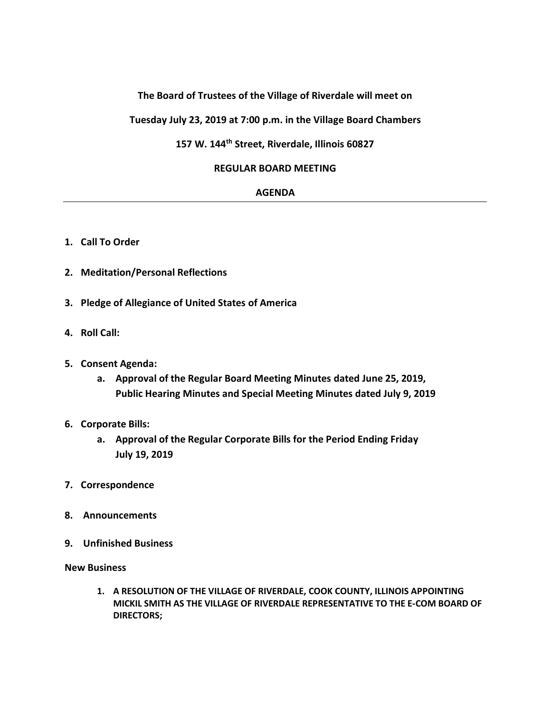# **The Board of Trustees of the Village of Riverdale will meet on**

**Tuesday July 23, 2019 at 7:00 p.m. in the Village Board Chambers**

# **157 W. 144th Street, Riverdale, Illinois 60827**

### **REGULAR BOARD MEETING**

### **AGENDA**

- **1. Call To Order**
- **2. Meditation/Personal Reflections**
- **3. Pledge of Allegiance of United States of America**
- **4. Roll Call:**
- **5. Consent Agenda:**
	- **a. Approval of the Regular Board Meeting Minutes dated June 25, 2019, Public Hearing Minutes and Special Meeting Minutes dated July 9, 2019**
- **6. Corporate Bills:**
	- **a. Approval of the Regular Corporate Bills for the Period Ending Friday July 19, 2019**
- **7. Correspondence**
- **8. Announcements**
- **9. Unfinished Business**

#### **New Business**

**1. A RESOLUTION OF THE VILLAGE OF RIVERDALE, COOK COUNTY, ILLINOIS APPOINTING MICKIL SMITH AS THE VILLAGE OF RIVERDALE REPRESENTATIVE TO THE E-COM BOARD OF DIRECTORS;**